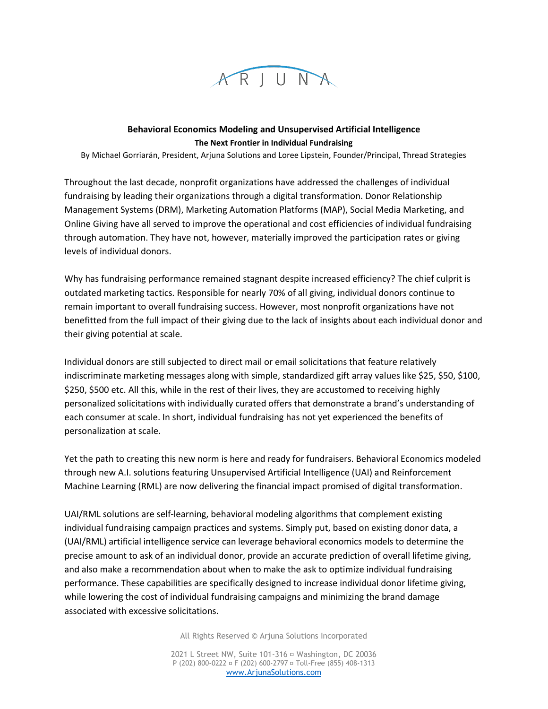

## **Behavioral Economics Modeling and Unsupervised Artificial Intelligence The Next Frontier in Individual Fundraising**

By Michael Gorriarán, President, Arjuna Solutions and Loree Lipstein, Founder/Principal, Thread Strategies

Throughout the last decade, nonprofit organizations have addressed the challenges of individual fundraising by leading their organizations through a digital transformation. Donor Relationship Management Systems (DRM), Marketing Automation Platforms (MAP), Social Media Marketing, and Online Giving have all served to improve the operational and cost efficiencies of individual fundraising through automation. They have not, however, materially improved the participation rates or giving levels of individual donors.

Why has fundraising performance remained stagnant despite increased efficiency? The chief culprit is outdated marketing tactics. Responsible for nearly 70% of all giving, individual donors continue to remain important to overall fundraising success. However, most nonprofit organizations have not benefitted from the full impact of their giving due to the lack of insights about each individual donor and their giving potential at scale.

Individual donors are still subjected to direct mail or email solicitations that feature relatively indiscriminate marketing messages along with simple, standardized gift array values like \$25, \$50, \$100, \$250, \$500 etc. All this, while in the rest of their lives, they are accustomed to receiving highly personalized solicitations with individually curated offers that demonstrate a brand's understanding of each consumer at scale. In short, individual fundraising has not yet experienced the benefits of personalization at scale.

Yet the path to creating this new norm is here and ready for fundraisers. Behavioral Economics modeled through new A.I. solutions featuring Unsupervised Artificial Intelligence (UAI) and Reinforcement Machine Learning (RML) are now delivering the financial impact promised of digital transformation.

UAI/RML solutions are self-learning, behavioral modeling algorithms that complement existing individual fundraising campaign practices and systems. Simply put, based on existing donor data, a (UAI/RML) artificial intelligence service can leverage behavioral economics models to determine the precise amount to ask of an individual donor, provide an accurate prediction of overall lifetime giving, and also make a recommendation about when to make the ask to optimize individual fundraising performance. These capabilities are specifically designed to increase individual donor lifetime giving, while lowering the cost of individual fundraising campaigns and minimizing the brand damage associated with excessive solicitations.

All Rights Reserved © Arjuna Solutions Incorporated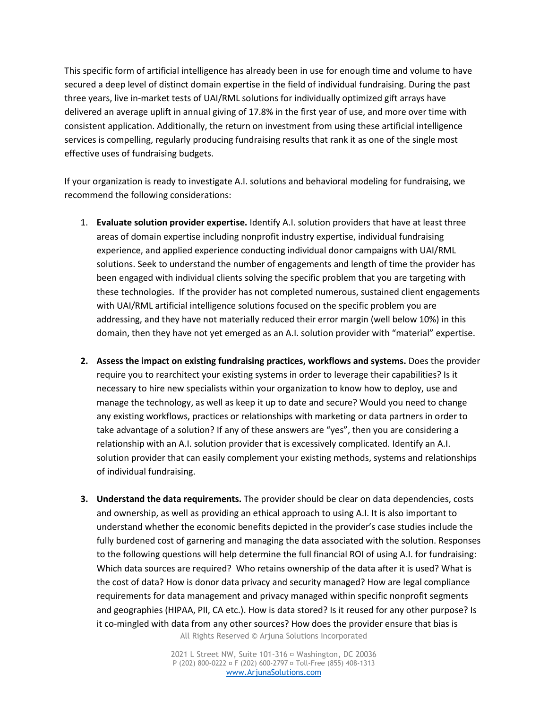This specific form of artificial intelligence has already been in use for enough time and volume to have secured a deep level of distinct domain expertise in the field of individual fundraising. During the past three years, live in-market tests of UAI/RML solutions for individually optimized gift arrays have delivered an average uplift in annual giving of 17.8% in the first year of use, and more over time with consistent application. Additionally, the return on investment from using these artificial intelligence services is compelling, regularly producing fundraising results that rank it as one of the single most effective uses of fundraising budgets.

If your organization is ready to investigate A.I. solutions and behavioral modeling for fundraising, we recommend the following considerations:

- 1. **Evaluate solution provider expertise.** Identify A.I. solution providers that have at least three areas of domain expertise including nonprofit industry expertise, individual fundraising experience, and applied experience conducting individual donor campaigns with UAI/RML solutions. Seek to understand the number of engagements and length of time the provider has been engaged with individual clients solving the specific problem that you are targeting with these technologies. If the provider has not completed numerous, sustained client engagements with UAI/RML artificial intelligence solutions focused on the specific problem you are addressing, and they have not materially reduced their error margin (well below 10%) in this domain, then they have not yet emerged as an A.I. solution provider with "material" expertise.
- **2. Assess the impact on existing fundraising practices, workflows and systems.** Does the provider require you to rearchitect your existing systems in order to leverage their capabilities? Is it necessary to hire new specialists within your organization to know how to deploy, use and manage the technology, as well as keep it up to date and secure? Would you need to change any existing workflows, practices or relationships with marketing or data partners in order to take advantage of a solution? If any of these answers are "yes", then you are considering a relationship with an A.I. solution provider that is excessively complicated. Identify an A.I. solution provider that can easily complement your existing methods, systems and relationships of individual fundraising.
- **3. Understand the data requirements.** The provider should be clear on data dependencies, costs and ownership, as well as providing an ethical approach to using A.I. It is also important to understand whether the economic benefits depicted in the provider's case studies include the fully burdened cost of garnering and managing the data associated with the solution. Responses to the following questions will help determine the full financial ROI of using A.I. for fundraising: Which data sources are required? Who retains ownership of the data after it is used? What is the cost of data? How is donor data privacy and security managed? How are legal compliance requirements for data management and privacy managed within specific nonprofit segments and geographies (HIPAA, PII, CA etc.). How is data stored? Is it reused for any other purpose? Is it co-mingled with data from any other sources? How does the provider ensure that bias is

All Rights Reserved © Arjuna Solutions Incorporated